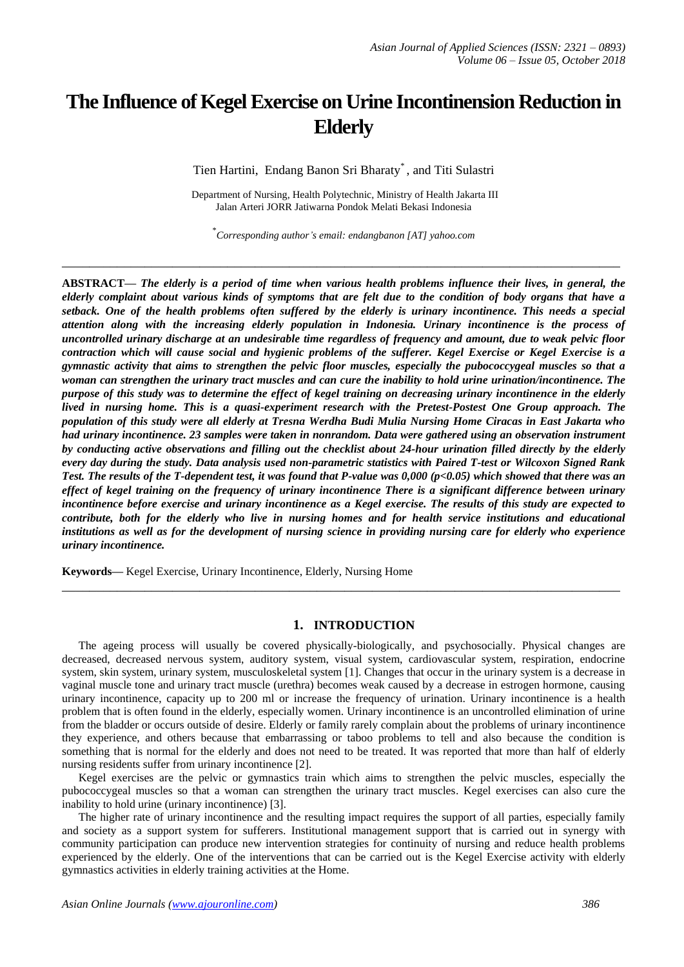# **The Influence of Kegel Exercise on Urine Incontinension Reduction in Elderly**

Tien Hartini, Endang Banon Sri Bharaty\* , and Titi Sulastri

Department of Nursing, Health Polytechnic, Ministry of Health Jakarta III Jalan Arteri JORR Jatiwarna Pondok Melati Bekasi Indonesia

\* *Corresponding author's email: endangbanon [AT] yahoo.com*

**\_\_\_\_\_\_\_\_\_\_\_\_\_\_\_\_\_\_\_\_\_\_\_\_\_\_\_\_\_\_\_\_\_\_\_\_\_\_\_\_\_\_\_\_\_\_\_\_\_\_\_\_\_\_\_\_\_\_\_\_\_\_\_\_\_\_\_\_\_\_\_\_\_\_\_\_\_\_\_\_\_**

**ABSTRACT—** *The elderly is a period of time when various health problems influence their lives, in general, the elderly complaint about various kinds of symptoms that are felt due to the condition of body organs that have a setback. One of the health problems often suffered by the elderly is urinary incontinence. This needs a special attention along with the increasing elderly population in Indonesia. Urinary incontinence is the process of uncontrolled urinary discharge at an undesirable time regardless of frequency and amount, due to weak pelvic floor contraction which will cause social and hygienic problems of the sufferer. Kegel Exercise or Kegel Exercise is a gymnastic activity that aims to strengthen the pelvic floor muscles, especially the pubococcygeal muscles so that a woman can strengthen the urinary tract muscles and can cure the inability to hold urine urination/incontinence. The purpose of this study was to determine the effect of kegel training on decreasing urinary incontinence in the elderly lived in nursing home. This is a quasi-experiment research with the Pretest-Postest One Group approach. The population of this study were all elderly at Tresna Werdha Budi Mulia Nursing Home Ciracas in East Jakarta who had urinary incontinence. 23 samples were taken in nonrandom. Data were gathered using an observation instrument by conducting active observations and filling out the checklist about 24-hour urination filled directly by the elderly every day during the study. Data analysis used non-parametric statistics with Paired T-test or Wilcoxon Signed Rank Test. The results of the T-dependent test, it was found that P-value was 0,000 (p<0.05) which showed that there was an effect of kegel training on the frequency of urinary incontinence There is a significant difference between urinary incontinence before exercise and urinary incontinence as a Kegel exercise. The results of this study are expected to contribute, both for the elderly who live in nursing homes and for health service institutions and educational institutions as well as for the development of nursing science in providing nursing care for elderly who experience urinary incontinence.*

**Keywords—** Kegel Exercise, Urinary Incontinence, Elderly, Nursing Home

#### **1. INTRODUCTION**

**\_\_\_\_\_\_\_\_\_\_\_\_\_\_\_\_\_\_\_\_\_\_\_\_\_\_\_\_\_\_\_\_\_\_\_\_\_\_\_\_\_\_\_\_\_\_\_\_\_\_\_\_\_\_\_\_\_\_\_\_\_\_\_\_\_\_\_\_\_\_\_\_\_\_\_\_\_\_\_\_\_**

The ageing process will usually be covered physically-biologically, and psychosocially. Physical changes are decreased, decreased nervous system, auditory system, visual system, cardiovascular system, respiration, endocrine system, skin system, urinary system, musculoskeletal system [1]. Changes that occur in the urinary system is a decrease in vaginal muscle tone and urinary tract muscle (urethra) becomes weak caused by a decrease in estrogen hormone, causing urinary incontinence, capacity up to 200 ml or increase the frequency of urination. Urinary incontinence is a health problem that is often found in the elderly, especially women. Urinary incontinence is an uncontrolled elimination of urine from the bladder or occurs outside of desire. Elderly or family rarely complain about the problems of urinary incontinence they experience, and others because that embarrassing or taboo problems to tell and also because the condition is something that is normal for the elderly and does not need to be treated. It was reported that more than half of elderly nursing residents suffer from urinary incontinence [2].

Kegel exercises are the pelvic or gymnastics train which aims to strengthen the pelvic muscles, especially the pubococcygeal muscles so that a woman can strengthen the urinary tract muscles. Kegel exercises can also cure the inability to hold urine (urinary incontinence) [3].

The higher rate of urinary incontinence and the resulting impact requires the support of all parties, especially family and society as a support system for sufferers. Institutional management support that is carried out in synergy with community participation can produce new intervention strategies for continuity of nursing and reduce health problems experienced by the elderly. One of the interventions that can be carried out is the Kegel Exercise activity with elderly gymnastics activities in elderly training activities at the Home.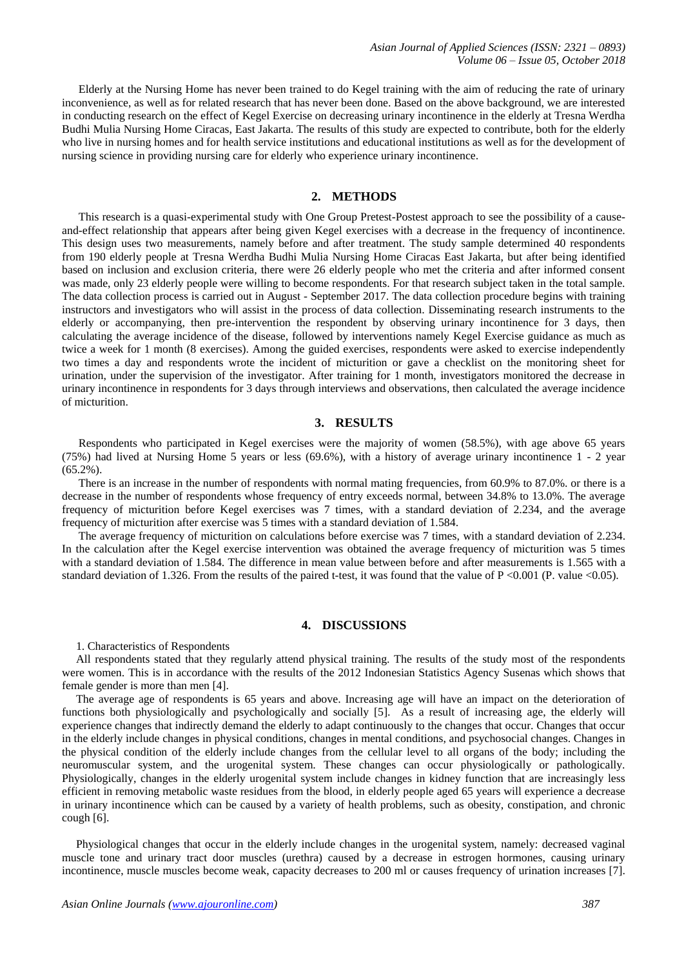*Asian Journal of Applied Sciences (ISSN: 2321 – 0893) Volume 06 – Issue 05, October 2018*

Elderly at the Nursing Home has never been trained to do Kegel training with the aim of reducing the rate of urinary inconvenience, as well as for related research that has never been done. Based on the above background, we are interested in conducting research on the effect of Kegel Exercise on decreasing urinary incontinence in the elderly at Tresna Werdha Budhi Mulia Nursing Home Ciracas, East Jakarta. The results of this study are expected to contribute, both for the elderly who live in nursing homes and for health service institutions and educational institutions as well as for the development of nursing science in providing nursing care for elderly who experience urinary incontinence.

### **2. METHODS**

This research is a quasi-experimental study with One Group Pretest-Postest approach to see the possibility of a causeand-effect relationship that appears after being given Kegel exercises with a decrease in the frequency of incontinence. This design uses two measurements, namely before and after treatment. The study sample determined 40 respondents from 190 elderly people at Tresna Werdha Budhi Mulia Nursing Home Ciracas East Jakarta, but after being identified based on inclusion and exclusion criteria, there were 26 elderly people who met the criteria and after informed consent was made, only 23 elderly people were willing to become respondents. For that research subject taken in the total sample. The data collection process is carried out in August - September 2017. The data collection procedure begins with training instructors and investigators who will assist in the process of data collection. Disseminating research instruments to the elderly or accompanying, then pre-intervention the respondent by observing urinary incontinence for 3 days, then calculating the average incidence of the disease, followed by interventions namely Kegel Exercise guidance as much as twice a week for 1 month (8 exercises). Among the guided exercises, respondents were asked to exercise independently two times a day and respondents wrote the incident of micturition or gave a checklist on the monitoring sheet for urination, under the supervision of the investigator. After training for 1 month, investigators monitored the decrease in urinary incontinence in respondents for 3 days through interviews and observations, then calculated the average incidence of micturition.

# **3. RESULTS**

Respondents who participated in Kegel exercises were the majority of women (58.5%), with age above 65 years (75%) had lived at Nursing Home 5 years or less (69.6%), with a history of average urinary incontinence 1 - 2 year  $(65.2\%)$ .

There is an increase in the number of respondents with normal mating frequencies, from 60.9% to 87.0%. or there is a decrease in the number of respondents whose frequency of entry exceeds normal, between 34.8% to 13.0%. The average frequency of micturition before Kegel exercises was 7 times, with a standard deviation of 2.234, and the average frequency of micturition after exercise was 5 times with a standard deviation of 1.584.

The average frequency of micturition on calculations before exercise was 7 times, with a standard deviation of 2.234. In the calculation after the Kegel exercise intervention was obtained the average frequency of micturition was 5 times with a standard deviation of 1.584. The difference in mean value between before and after measurements is 1.565 with a standard deviation of 1.326. From the results of the paired t-test, it was found that the value of P <0.001 (P. value <0.05).

#### **4. DISCUSSIONS**

#### 1. Characteristics of Respondents

All respondents stated that they regularly attend physical training. The results of the study most of the respondents were women. This is in accordance with the results of the 2012 Indonesian Statistics Agency Susenas which shows that female gender is more than men [4].

The average age of respondents is 65 years and above. Increasing age will have an impact on the deterioration of functions both physiologically and psychologically and socially [5]. As a result of increasing age, the elderly will experience changes that indirectly demand the elderly to adapt continuously to the changes that occur. Changes that occur in the elderly include changes in physical conditions, changes in mental conditions, and psychosocial changes. Changes in the physical condition of the elderly include changes from the cellular level to all organs of the body; including the neuromuscular system, and the urogenital system. These changes can occur physiologically or pathologically. Physiologically, changes in the elderly urogenital system include changes in kidney function that are increasingly less efficient in removing metabolic waste residues from the blood, in elderly people aged 65 years will experience a decrease in urinary incontinence which can be caused by a variety of health problems, such as obesity, constipation, and chronic cough [6].

Physiological changes that occur in the elderly include changes in the urogenital system, namely: decreased vaginal muscle tone and urinary tract door muscles (urethra) caused by a decrease in estrogen hormones, causing urinary incontinence, muscle muscles become weak, capacity decreases to 200 ml or causes frequency of urination increases [7].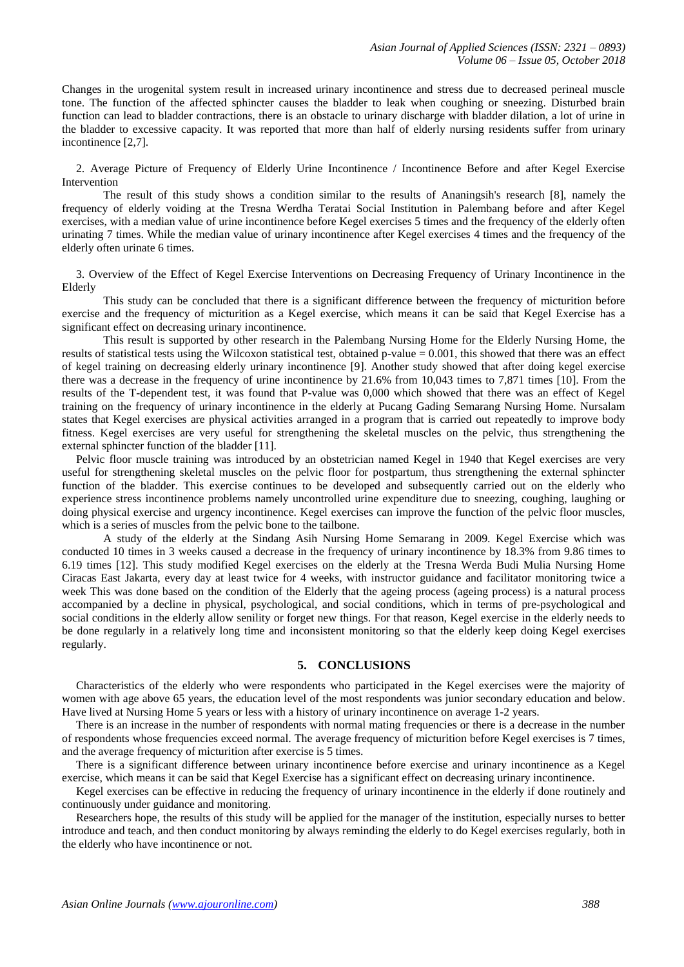Changes in the urogenital system result in increased urinary incontinence and stress due to decreased perineal muscle tone. The function of the affected sphincter causes the bladder to leak when coughing or sneezing. Disturbed brain function can lead to bladder contractions, there is an obstacle to urinary discharge with bladder dilation, a lot of urine in the bladder to excessive capacity. It was reported that more than half of elderly nursing residents suffer from urinary incontinence [2,7].

2. Average Picture of Frequency of Elderly Urine Incontinence / Incontinence Before and after Kegel Exercise Intervention

The result of this study shows a condition similar to the results of Ananingsih's research [8], namely the frequency of elderly voiding at the Tresna Werdha Teratai Social Institution in Palembang before and after Kegel exercises, with a median value of urine incontinence before Kegel exercises 5 times and the frequency of the elderly often urinating 7 times. While the median value of urinary incontinence after Kegel exercises 4 times and the frequency of the elderly often urinate 6 times.

3. Overview of the Effect of Kegel Exercise Interventions on Decreasing Frequency of Urinary Incontinence in the Elderly

This study can be concluded that there is a significant difference between the frequency of micturition before exercise and the frequency of micturition as a Kegel exercise, which means it can be said that Kegel Exercise has a significant effect on decreasing urinary incontinence.

This result is supported by other research in the Palembang Nursing Home for the Elderly Nursing Home, the results of statistical tests using the Wilcoxon statistical test, obtained p-value = 0.001, this showed that there was an effect of kegel training on decreasing elderly urinary incontinence [9]. Another study showed that after doing kegel exercise there was a decrease in the frequency of urine incontinence by 21.6% from 10,043 times to 7,871 times [10]. From the results of the T-dependent test, it was found that P-value was 0,000 which showed that there was an effect of Kegel training on the frequency of urinary incontinence in the elderly at Pucang Gading Semarang Nursing Home. Nursalam states that Kegel exercises are physical activities arranged in a program that is carried out repeatedly to improve body fitness. Kegel exercises are very useful for strengthening the skeletal muscles on the pelvic, thus strengthening the external sphincter function of the bladder [11].

Pelvic floor muscle training was introduced by an obstetrician named Kegel in 1940 that Kegel exercises are very useful for strengthening skeletal muscles on the pelvic floor for postpartum, thus strengthening the external sphincter function of the bladder. This exercise continues to be developed and subsequently carried out on the elderly who experience stress incontinence problems namely uncontrolled urine expenditure due to sneezing, coughing, laughing or doing physical exercise and urgency incontinence. Kegel exercises can improve the function of the pelvic floor muscles, which is a series of muscles from the pelvic bone to the tailbone.

A study of the elderly at the Sindang Asih Nursing Home Semarang in 2009. Kegel Exercise which was conducted 10 times in 3 weeks caused a decrease in the frequency of urinary incontinence by 18.3% from 9.86 times to 6.19 times [12]. This study modified Kegel exercises on the elderly at the Tresna Werda Budi Mulia Nursing Home Ciracas East Jakarta, every day at least twice for 4 weeks, with instructor guidance and facilitator monitoring twice a week This was done based on the condition of the Elderly that the ageing process (ageing process) is a natural process accompanied by a decline in physical, psychological, and social conditions, which in terms of pre-psychological and social conditions in the elderly allow senility or forget new things. For that reason, Kegel exercise in the elderly needs to be done regularly in a relatively long time and inconsistent monitoring so that the elderly keep doing Kegel exercises regularly.

#### **5. CONCLUSIONS**

Characteristics of the elderly who were respondents who participated in the Kegel exercises were the majority of women with age above 65 years, the education level of the most respondents was junior secondary education and below. Have lived at Nursing Home 5 years or less with a history of urinary incontinence on average 1-2 years.

There is an increase in the number of respondents with normal mating frequencies or there is a decrease in the number of respondents whose frequencies exceed normal. The average frequency of micturition before Kegel exercises is 7 times, and the average frequency of micturition after exercise is 5 times.

There is a significant difference between urinary incontinence before exercise and urinary incontinence as a Kegel exercise, which means it can be said that Kegel Exercise has a significant effect on decreasing urinary incontinence.

Kegel exercises can be effective in reducing the frequency of urinary incontinence in the elderly if done routinely and continuously under guidance and monitoring.

Researchers hope, the results of this study will be applied for the manager of the institution, especially nurses to better introduce and teach, and then conduct monitoring by always reminding the elderly to do Kegel exercises regularly, both in the elderly who have incontinence or not.